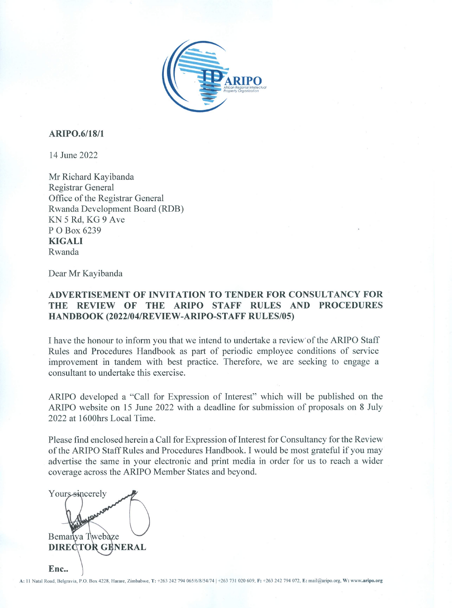

#### **ARIPO.6/18/1**

14 June 2022

Mr Richard Kayibanda **Registrar General** Office of the Registrar General Rwanda Development Board (RDB) KN 5 Rd, KG 9 Ave P O Box 6239 **KIGALI** Rwanda

Dear Mr Kayibanda

### ADVERTISEMENT OF INVITATION TO TENDER FOR CONSULTANCY FOR THE REVIEW OF THE ARIPO STAFF RULES AND PROCEDURES HANDBOOK (2022/04/REVIEW-ARIPO-STAFF RULES/05)

I have the honour to inform you that we intend to undertake a review of the ARIPO Staff Rules and Procedures Handbook as part of periodic employee conditions of service improvement in tandem with best practice. Therefore, we are seeking to engage a consultant to undertake this exercise.

ARIPO developed a "Call for Expression of Interest" which will be published on the ARIPO website on 15 June 2022 with a deadline for submission of proposals on 8 July 2022 at 1600hrs Local Time.

Please find enclosed herein a Call for Expression of Interest for Consultancy for the Review of the ARIPO Staff Rules and Procedures Handbook. I would be most grateful if you may advertise the same in your electronic and print media in order for us to reach a wider coverage across the ARIPO Member States and beyond.

Yours sincerely Bemanya Twebaze **DIRECTOR GENERAL** Enc..

A: 11 Natal Road, Belgravia, P.O. Box 4228, Harare, Zimbabwe, T: +263 242 794 065/6/8/54/74 +263 731 020 609, F: +263 242 794 072, E: mail@aripo.org, W: www.aripo.org